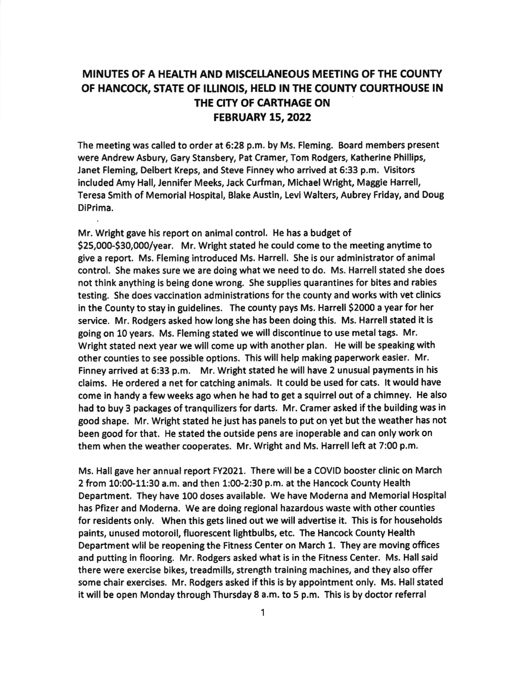## MINUTES OF A HEALTH AND MISCELLANEOUS MEETING OF THE COUNTY OF HANCOCK, STATE OF ILLINOIS, HELD IN THE COUNTY COURTHOUSE IN THE CITY OF CARTHAGE ON FEBRUARY 15,2022

The meeting was called to order at 6:28 p.m. by Ms. Fleming. Board members present were Andrew Asbury, Gary Stansbery, Pat Cramer, Tom Rodgers, Katherine Phillips, Janet Fleming; Delbert Kreps, and Steve Finney who arrived at 6:33 p.m. Visitors included Amy Hall, Jennifer Meeks, Jack Curfman, Michael Wright, Maggie Harrell, Teresa Smith of Memorial Hospital, Blake Austin, Levi Walters, Aubrey Friday, and Doug DiPrima.

Mr. Wright gave his report on animal control. He has a budget of S25,00GS30,000/year. Mr. Wright stated he could come to the meetlng anytime to give a report. Ms. Fleming introduced Ms. Harrell. She is our administrator of animal control. She makes sure we are doing what we need to do. Ms, Harrell stated she does not think anythlng is being done wrong, She supplies guarantines for bltes and rabies testing. She does vaccination administrations for the county and works with vet clinics in the County to stay in guidelines. The county pays Ms. Harrell 52000 a year for her service. Mr, Rodgers asked how long she has been doing thls. Ms. Harrell stated it is going on 10 years. Ms. Fleming stated we will discontinue to use metal tags. Mr. Wright stated next year we will come up with another plan. He will be speaking with other counties to see possible options. This will help making paperwork easier. Mr. Finney arrived at 6:33 p.m. Mr. wright stated he will have 2 unusual payments in his claims. He ordered a net for catching animals. lt could be used for cats. lt would have come in handy a few weeks ago when he had to get a squirrel out of a chimney. He also had to buy 3 packages of tranquilizers for darts. Mr. Cramer asked if the building was in good shape. Mr. Wright stated he just has panels to put on yet but the weather has not been good for that. He stated the outside pens are inoperable and can only work on them when the weather cooperates. Mr. Wright and Ms. Harrell left at 7:00 p.m.

Ms. Hall gave her annual report FY2021. There will be a COVID booster clinic on March 2 from 10:0G11:30 a.m. and then 1:@2:30 p.m. at the Hancock County Health Department. They have 100 doses available. We have Moderna and Memorial Hospital has Pfizer and Moderna. We are doing regional hazardous waste with other counties for residents only. When this gets lined out we will advertise it. This is for households paints, unused motoroll, fluorescent lightbulbs, etc. The Hancock county Health Department wlil be reopening the Fitness Center on March 1. They are moving offices and putting in flooring. Mr. Rodgers asked what is in the Fitness Center. Ms. Hall said there were exercise bikes, treadmills, strength training machines, and they also offer some chair exercises. Mr. Rodgers asked if this is by appointment only. Ms, Hall stated it will be open Monday through Thursday 8 a.m. to 5 p.m. This is by doctor referral